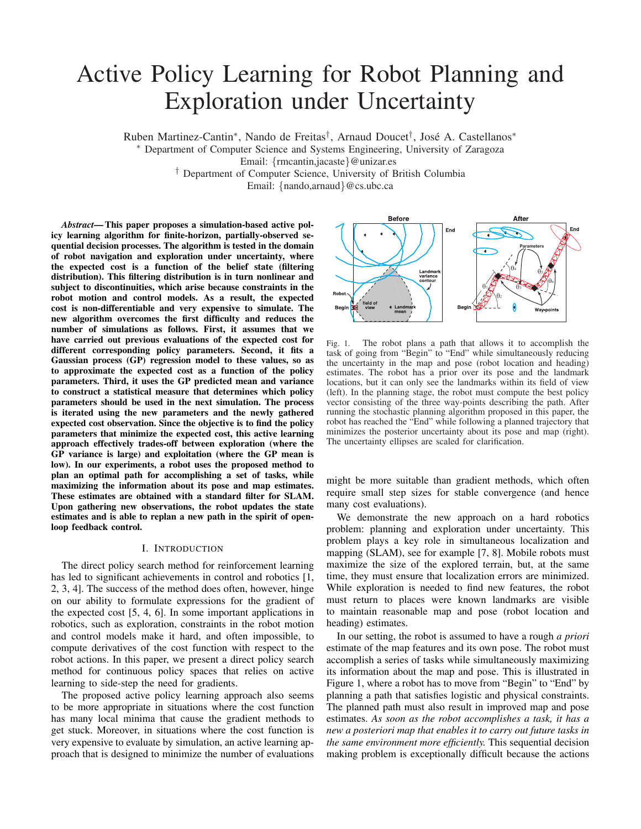# Active Policy Learning for Robot Planning and Exploration under Uncertainty

Ruben Martinez-Cantin<sup>\*</sup>, Nando de Freitas<sup>†</sup>, Arnaud Doucet<sup>†</sup>, José A. Castellanos<sup>\*</sup>

<sup>∗</sup> Department of Computer Science and Systems Engineering, University of Zaragoza

Email: {rmcantin,jacaste}@unizar.es

† Department of Computer Science, University of British Columbia

Email: {nando,arnaud}@cs.ubc.ca

*Abstract*— This paper proposes a simulation-based active policy learning algorithm for finite-horizon, partially-observed sequential decision processes. The algorithm is tested in the domain of robot navigation and exploration under uncertainty, where the expected cost is a function of the belief state (filtering distribution). This filtering distribution is in turn nonlinear and subject to discontinuities, which arise because constraints in the robot motion and control models. As a result, the expected cost is non-differentiable and very expensive to simulate. The new algorithm overcomes the first difficulty and reduces the number of simulations as follows. First, it assumes that we have carried out previous evaluations of the expected cost for different corresponding policy parameters. Second, it fits a Gaussian process (GP) regression model to these values, so as to approximate the expected cost as a function of the policy parameters. Third, it uses the GP predicted mean and variance to construct a statistical measure that determines which policy parameters should be used in the next simulation. The process is iterated using the new parameters and the newly gathered expected cost observation. Since the objective is to find the policy parameters that minimize the expected cost, this active learning approach effectively trades-off between exploration (where the GP variance is large) and exploitation (where the GP mean is low). In our experiments, a robot uses the proposed method to plan an optimal path for accomplishing a set of tasks, while maximizing the information about its pose and map estimates. These estimates are obtained with a standard filter for SLAM. Upon gathering new observations, the robot updates the state estimates and is able to replan a new path in the spirit of openloop feedback control.

## I. INTRODUCTION

The direct policy search method for reinforcement learning has led to significant achievements in control and robotics [1, 2, 3, 4]. The success of the method does often, however, hinge on our ability to formulate expressions for the gradient of the expected cost [5, 4, 6]. In some important applications in robotics, such as exploration, constraints in the robot motion and control models make it hard, and often impossible, to compute derivatives of the cost function with respect to the robot actions. In this paper, we present a direct policy search method for continuous policy spaces that relies on active learning to side-step the need for gradients.

The proposed active policy learning approach also seems to be more appropriate in situations where the cost function has many local minima that cause the gradient methods to get stuck. Moreover, in situations where the cost function is very expensive to evaluate by simulation, an active learning approach that is designed to minimize the number of evaluations



Fig. 1. The robot plans a path that allows it to accomplish the task of going from "Begin" to "End" while simultaneously reducing the uncertainty in the map and pose (robot location and heading) estimates. The robot has a prior over its pose and the landmark locations, but it can only see the landmarks within its field of view (left). In the planning stage, the robot must compute the best policy vector consisting of the three way-points describing the path. After running the stochastic planning algorithm proposed in this paper, the robot has reached the "End" while following a planned trajectory that minimizes the posterior uncertainty about its pose and map (right). The uncertainty ellipses are scaled for clarification.

might be more suitable than gradient methods, which often require small step sizes for stable convergence (and hence many cost evaluations).

We demonstrate the new approach on a hard robotics problem: planning and exploration under uncertainty. This problem plays a key role in simultaneous localization and mapping (SLAM), see for example [7, 8]. Mobile robots must maximize the size of the explored terrain, but, at the same time, they must ensure that localization errors are minimized. While exploration is needed to find new features, the robot must return to places were known landmarks are visible to maintain reasonable map and pose (robot location and heading) estimates.

In our setting, the robot is assumed to have a rough *a priori* estimate of the map features and its own pose. The robot must accomplish a series of tasks while simultaneously maximizing its information about the map and pose. This is illustrated in Figure 1, where a robot has to move from "Begin" to "End" by planning a path that satisfies logistic and physical constraints. The planned path must also result in improved map and pose estimates. *As soon as the robot accomplishes a task, it has a new a posteriori map that enables it to carry out future tasks in the same environment more efficiently.* This sequential decision making problem is exceptionally difficult because the actions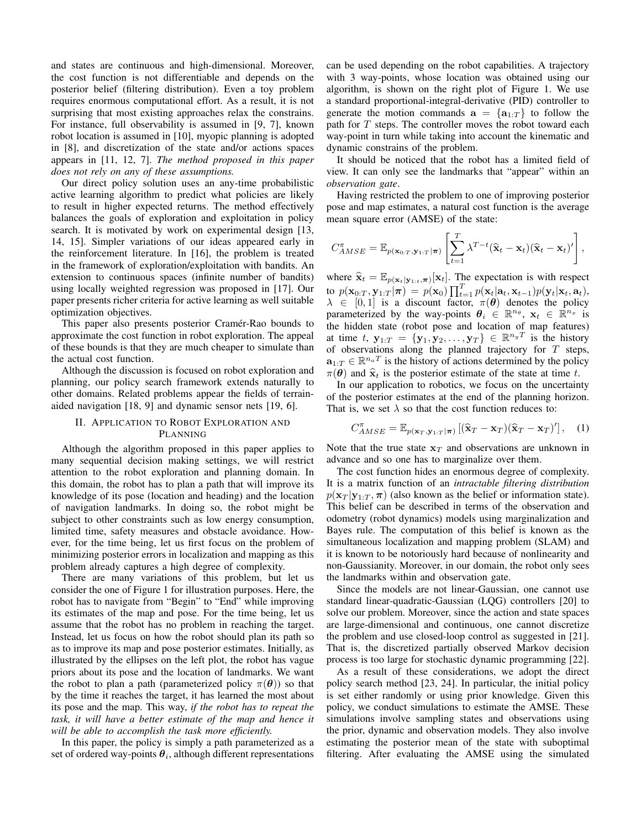and states are continuous and high-dimensional. Moreover, the cost function is not differentiable and depends on the posterior belief (filtering distribution). Even a toy problem requires enormous computational effort. As a result, it is not surprising that most existing approaches relax the constrains. For instance, full observability is assumed in [9, 7], known robot location is assumed in [10], myopic planning is adopted in [8], and discretization of the state and/or actions spaces appears in [11, 12, 7]. *The method proposed in this paper does not rely on any of these assumptions.*

Our direct policy solution uses an any-time probabilistic active learning algorithm to predict what policies are likely to result in higher expected returns. The method effectively balances the goals of exploration and exploitation in policy search. It is motivated by work on experimental design [13, 14, 15]. Simpler variations of our ideas appeared early in the reinforcement literature. In [16], the problem is treated in the framework of exploration/exploitation with bandits. An extension to continuous spaces (infinite number of bandits) using locally weighted regression was proposed in [17]. Our paper presents richer criteria for active learning as well suitable optimization objectives.

This paper also presents posterior Cramér-Rao bounds to approximate the cost function in robot exploration. The appeal of these bounds is that they are much cheaper to simulate than the actual cost function.

Although the discussion is focused on robot exploration and planning, our policy search framework extends naturally to other domains. Related problems appear the fields of terrainaided navigation [18, 9] and dynamic sensor nets [19, 6].

# II. APPLICATION TO ROBOT EXPLORATION AND PLANNING

Although the algorithm proposed in this paper applies to many sequential decision making settings, we will restrict attention to the robot exploration and planning domain. In this domain, the robot has to plan a path that will improve its knowledge of its pose (location and heading) and the location of navigation landmarks. In doing so, the robot might be subject to other constraints such as low energy consumption, limited time, safety measures and obstacle avoidance. However, for the time being, let us first focus on the problem of minimizing posterior errors in localization and mapping as this problem already captures a high degree of complexity.

There are many variations of this problem, but let us consider the one of Figure 1 for illustration purposes. Here, the robot has to navigate from "Begin" to "End" while improving its estimates of the map and pose. For the time being, let us assume that the robot has no problem in reaching the target. Instead, let us focus on how the robot should plan its path so as to improve its map and pose posterior estimates. Initially, as illustrated by the ellipses on the left plot, the robot has vague priors about its pose and the location of landmarks. We want the robot to plan a path (parameterized policy  $\pi(\theta)$ ) so that by the time it reaches the target, it has learned the most about its pose and the map. This way, *if the robot has to repeat the task, it will have a better estimate of the map and hence it will be able to accomplish the task more efficiently.*

In this paper, the policy is simply a path parameterized as a set of ordered way-points  $\theta_i$ , although different representations can be used depending on the robot capabilities. A trajectory with 3 way-points, whose location was obtained using our algorithm, is shown on the right plot of Figure 1. We use a standard proportional-integral-derivative (PID) controller to generate the motion commands  $\mathbf{a} = {\mathbf{a}_{1:T}}$  to follow the path for T steps. The controller moves the robot toward each way-point in turn while taking into account the kinematic and dynamic constrains of the problem.

It should be noticed that the robot has a limited field of view. It can only see the landmarks that "appear" within an *observation gate*.

Having restricted the problem to one of improving posterior pose and map estimates, a natural cost function is the average mean square error (AMSE) of the state:

$$
C_{AMSE}^{\pi} = \mathbb{E}_{p(\mathbf{x}_{0:T}, \mathbf{y}_{1:T} | \boldsymbol{\pi})} \left[ \sum_{t=1}^{T} \lambda^{T-t} (\hat{\mathbf{x}}_t - \mathbf{x}_t) (\hat{\mathbf{x}}_t - \mathbf{x}_t)' \right],
$$

where  $\hat{\mathbf{x}}_t = \mathbb{E}_{p(\mathbf{x}_t|\mathbf{y}_{1:t}, \pi)}[\mathbf{x}_t]$ . The expectation is with respect to  $p(\mathbf{x}_{0:T}, \mathbf{y}_{1:T} | \boldsymbol{\pi}) = p(\mathbf{x}_0) \prod_{t=1}^T p(\mathbf{x}_t | \mathbf{a}_t, \mathbf{x}_{t-1}) p(\mathbf{y}_t | \mathbf{x}_t, \mathbf{a}_t),$  $\lambda \in [0, 1]$  is a discount factor,  $\pi(\theta)$  denotes the policy parameterized by the way-points  $\theta_i \in \mathbb{R}^{n_\theta}$ ,  $\mathbf{x}_t \in \mathbb{R}^{n_x}$  is the hidden state (robot pose and location of map features) at time t,  $y_{1:T} = \{y_1, y_2, \dots, y_T\} \in \mathbb{R}^{n_y T}$  is the history of observations along the planned trajectory for  $T$  steps,  $\mathbf{a}_{1:T} \in \mathbb{R}^{n_a T}$  is the history of actions determined by the policy  $\pi(\theta)$  and  $\hat{\mathbf{x}}_t$  is the posterior estimate of the state at time t.

In our application to robotics, we focus on the uncertainty of the posterior estimates at the end of the planning horizon. That is, we set  $\lambda$  so that the cost function reduces to:

$$
C_{AMSE}^{\pi} = \mathbb{E}_{p(\mathbf{x}_T, \mathbf{y}_{1:T} | \boldsymbol{\pi})} [(\hat{\mathbf{x}}_T - \mathbf{x}_T)(\hat{\mathbf{x}}_T - \mathbf{x}_T)'], \quad (1)
$$

Note that the true state  $x_T$  and observations are unknown in advance and so one has to marginalize over them.

The cost function hides an enormous degree of complexity. It is a matrix function of an *intractable filtering distribution*  $p(\mathbf{x}_T | \mathbf{y}_{1:T}, \boldsymbol{\pi})$  (also known as the belief or information state). This belief can be described in terms of the observation and odometry (robot dynamics) models using marginalization and Bayes rule. The computation of this belief is known as the simultaneous localization and mapping problem (SLAM) and it is known to be notoriously hard because of nonlinearity and non-Gaussianity. Moreover, in our domain, the robot only sees the landmarks within and observation gate.

Since the models are not linear-Gaussian, one cannot use standard linear-quadratic-Gaussian (LQG) controllers [20] to solve our problem. Moreover, since the action and state spaces are large-dimensional and continuous, one cannot discretize the problem and use closed-loop control as suggested in [21]. That is, the discretized partially observed Markov decision process is too large for stochastic dynamic programming [22].

As a result of these considerations, we adopt the direct policy search method [23, 24]. In particular, the initial policy is set either randomly or using prior knowledge. Given this policy, we conduct simulations to estimate the AMSE. These simulations involve sampling states and observations using the prior, dynamic and observation models. They also involve estimating the posterior mean of the state with suboptimal filtering. After evaluating the AMSE using the simulated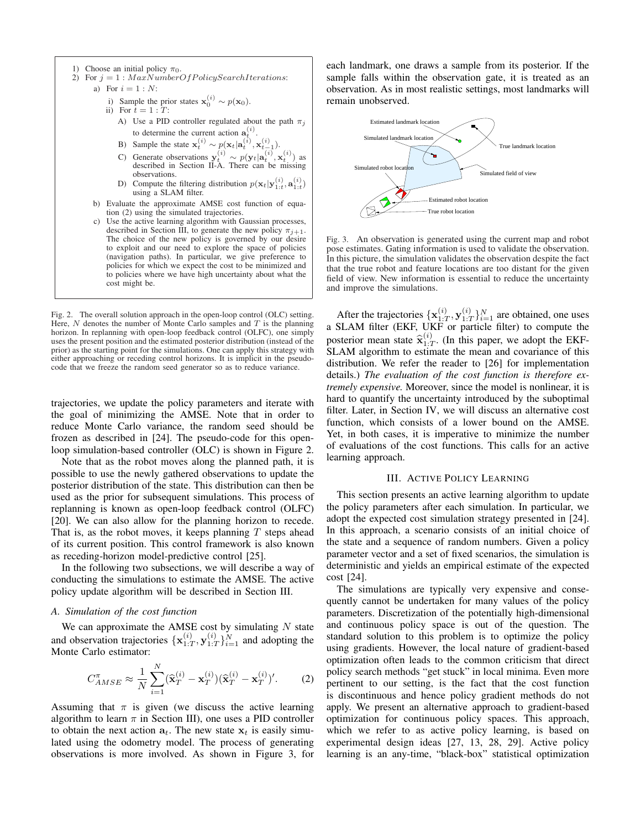- 1) Choose an initial policy  $\pi_0$ .
- 2) For  $j = 1 : MaxNumberOf Policy Search Iterations:$ a) For  $i = 1 : N$ :
	- i) Sample the prior states  $\mathbf{x}_0^{(i)} \sim p(\mathbf{x}_0)$ .
	- ii) For  $\hat{t} = 1 : \hat{T}$ :
		- A) Use a PID controller regulated about the path  $\pi_i$ to determine the current action  $\mathbf{a}_t^{(i)}$ .
		- to determine the current action  $\mathbf{a}_t$ .<br>
		B) Sample the state  $\mathbf{x}_t^{(i)} \sim p(\mathbf{x}_t | \mathbf{a}_t^{(i)}, \mathbf{x}_{t-1}^{(i)})$ .
		- C) Generate observations  $\mathbf{y}_t^{(i)} \sim p(\mathbf{y}_t | \mathbf{a}_t^{(i)}, \mathbf{x}_t^{(i)})$  as described in Section II-A. There can be missing observations.
		- D) Compute the filtering distribution  $p(\mathbf{x}_t|\mathbf{y}_{1:t}^{(i)},\mathbf{a}_{1:t}^{(i)})$ using a SLAM filter.
	- b) Evaluate the approximate AMSE cost function of equation (2) using the simulated trajectories.
	- c) Use the active learning algorithm with Gaussian processes, described in Section III, to generate the new policy  $\pi_{j+1}$ . The choice of the new policy is governed by our desire to exploit and our need to explore the space of policies (navigation paths). In particular, we give preference to policies for which we expect the cost to be minimized and to policies where we have high uncertainty about what the cost might be.

Fig. 2. The overall solution approach in the open-loop control (OLC) setting. Here,  $N$  denotes the number of Monte Carlo samples and  $T$  is the planning horizon. In replanning with open-loop feedback control (OLFC), one simply uses the present position and the estimated posterior distribution (instead of the prior) as the starting point for the simulations. One can apply this strategy with either approaching or receding control horizons. It is implicit in the pseudocode that we freeze the random seed generator so as to reduce variance.

trajectories, we update the policy parameters and iterate with the goal of minimizing the AMSE. Note that in order to reduce Monte Carlo variance, the random seed should be frozen as described in [24]. The pseudo-code for this openloop simulation-based controller (OLC) is shown in Figure 2.

Note that as the robot moves along the planned path, it is possible to use the newly gathered observations to update the posterior distribution of the state. This distribution can then be used as the prior for subsequent simulations. This process of replanning is known as open-loop feedback control (OLFC) [20]. We can also allow for the planning horizon to recede. That is, as the robot moves, it keeps planning  $T$  steps ahead of its current position. This control framework is also known as receding-horizon model-predictive control [25].

In the following two subsections, we will describe a way of conducting the simulations to estimate the AMSE. The active policy update algorithm will be described in Section III.

# *A. Simulation of the cost function*

We can approximate the AMSE cost by simulating  $N$  state and observation trajectories  $\{x_1^{(i)}\}$  $\mathbf{y}_{1:T}^{(i)},\mathbf{y}_{1:T}^{(i)}$  $\binom{i}{1:T}$  and adopting the Monte Carlo estimator:

$$
C_{AMSE}^{\pi} \approx \frac{1}{N} \sum_{i=1}^{N} (\hat{\mathbf{x}}_T^{(i)} - \mathbf{x}_T^{(i)}) (\hat{\mathbf{x}}_T^{(i)} - \mathbf{x}_T^{(i)})'. \tag{2}
$$

Assuming that  $\pi$  is given (we discuss the active learning algorithm to learn  $\pi$  in Section III), one uses a PID controller to obtain the next action  $a_t$ . The new state  $x_t$  is easily simulated using the odometry model. The process of generating observations is more involved. As shown in Figure 3, for

each landmark, one draws a sample from its posterior. If the sample falls within the observation gate, it is treated as an observation. As in most realistic settings, most landmarks will remain unobserved.



Fig. 3. An observation is generated using the current map and robot pose estimates. Gating information is used to validate the observation. In this picture, the simulation validates the observation despite the fact that the true robot and feature locations are too distant for the given field of view. New information is essential to reduce the uncertainty and improve the simulations.

After the trajectories  $\{x_{1}^{(i)}\}$  $\mathbf{y}_{1:T}^{(i)},\mathbf{y}_{1:T}^{(i)}$  $\binom{i}{1:T}$  are obtained, one uses a SLAM filter (EKF, UKF or particle filter) to compute the posterior mean state  $\hat{\mathbf{x}}_1^{(i)}$  $_{1:T}^{(i)}$ . (In this paper, we adopt the EKF-SLAM algorithm to estimate the mean and covariance of this distribution. We refer the reader to [26] for implementation details.) *The evaluation of the cost function is therefore extremely expensive.* Moreover, since the model is nonlinear, it is hard to quantify the uncertainty introduced by the suboptimal filter. Later, in Section IV, we will discuss an alternative cost function, which consists of a lower bound on the AMSE. Yet, in both cases, it is imperative to minimize the number of evaluations of the cost functions. This calls for an active learning approach.

## III. ACTIVE POLICY LEARNING

This section presents an active learning algorithm to update the policy parameters after each simulation. In particular, we adopt the expected cost simulation strategy presented in [24]. In this approach, a scenario consists of an initial choice of the state and a sequence of random numbers. Given a policy parameter vector and a set of fixed scenarios, the simulation is deterministic and yields an empirical estimate of the expected cost [24].

The simulations are typically very expensive and consequently cannot be undertaken for many values of the policy parameters. Discretization of the potentially high-dimensional and continuous policy space is out of the question. The standard solution to this problem is to optimize the policy using gradients. However, the local nature of gradient-based optimization often leads to the common criticism that direct policy search methods "get stuck" in local minima. Even more pertinent to our setting, is the fact that the cost function is discontinuous and hence policy gradient methods do not apply. We present an alternative approach to gradient-based optimization for continuous policy spaces. This approach, which we refer to as active policy learning, is based on experimental design ideas [27, 13, 28, 29]. Active policy learning is an any-time, "black-box" statistical optimization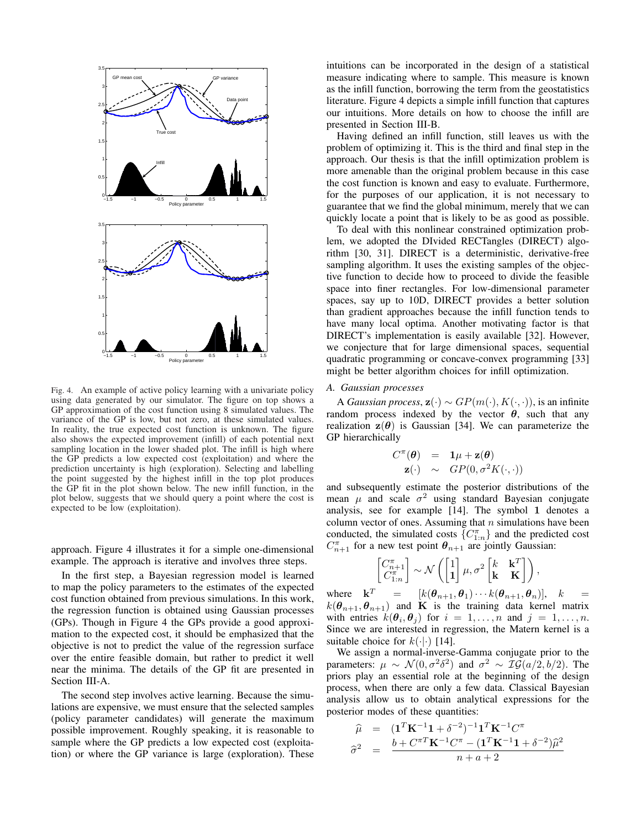

Fig. 4. An example of active policy learning with a univariate policy using data generated by our simulator. The figure on top shows a GP approximation of the cost function using 8 simulated values. The variance of the GP is low, but not zero, at these simulated values. In reality, the true expected cost function is unknown. The figure also shows the expected improvement (infill) of each potential next sampling location in the lower shaded plot. The infill is high where the GP predicts a low expected cost (exploitation) and where the prediction uncertainty is high (exploration). Selecting and labelling the point suggested by the highest infill in the top plot produces the GP fit in the plot shown below. The new infill function, in the plot below, suggests that we should query a point where the cost is expected to be low (exploitation).

approach. Figure 4 illustrates it for a simple one-dimensional example. The approach is iterative and involves three steps.

In the first step, a Bayesian regression model is learned to map the policy parameters to the estimates of the expected cost function obtained from previous simulations. In this work, the regression function is obtained using Gaussian processes (GPs). Though in Figure 4 the GPs provide a good approximation to the expected cost, it should be emphasized that the objective is not to predict the value of the regression surface over the entire feasible domain, but rather to predict it well near the minima. The details of the GP fit are presented in Section III-A.

The second step involves active learning. Because the simulations are expensive, we must ensure that the selected samples (policy parameter candidates) will generate the maximum possible improvement. Roughly speaking, it is reasonable to sample where the GP predicts a low expected cost (exploitation) or where the GP variance is large (exploration). These intuitions can be incorporated in the design of a statistical measure indicating where to sample. This measure is known as the infill function, borrowing the term from the geostatistics literature. Figure 4 depicts a simple infill function that captures our intuitions. More details on how to choose the infill are presented in Section III-B.

Having defined an infill function, still leaves us with the problem of optimizing it. This is the third and final step in the approach. Our thesis is that the infill optimization problem is more amenable than the original problem because in this case the cost function is known and easy to evaluate. Furthermore, for the purposes of our application, it is not necessary to guarantee that we find the global minimum, merely that we can quickly locate a point that is likely to be as good as possible.

To deal with this nonlinear constrained optimization problem, we adopted the DIvided RECTangles (DIRECT) algorithm [30, 31]. DIRECT is a deterministic, derivative-free sampling algorithm. It uses the existing samples of the objective function to decide how to proceed to divide the feasible space into finer rectangles. For low-dimensional parameter spaces, say up to 10D, DIRECT provides a better solution than gradient approaches because the infill function tends to have many local optima. Another motivating factor is that DIRECT's implementation is easily available [32]. However, we conjecture that for large dimensional spaces, sequential quadratic programming or concave-convex programming [33] might be better algorithm choices for infill optimization.

## *A. Gaussian processes*

A *Gaussian process*,  $\mathbf{z}(\cdot) \sim GP(m(\cdot), K(\cdot, \cdot))$ , is an infinite random process indexed by the vector  $\theta$ , such that any realization  $z(\theta)$  is Gaussian [34]. We can parameterize the GP hierarchically

$$
C^{\pi}(\boldsymbol{\theta}) = \mathbf{1}\mu + \mathbf{z}(\boldsymbol{\theta})
$$
  

$$
\mathbf{z}(\cdot) \sim GP(0, \sigma^2 K(\cdot, \cdot))
$$

and subsequently estimate the posterior distributions of the mean  $\mu$  and scale  $\sigma^2$  using standard Bayesian conjugate analysis, see for example [14]. The symbol 1 denotes a column vector of ones. Assuming that  $n$  simulations have been conducted, the simulated costs  $\{C_{1:n}^{\pi}\}\$  and the predicted cost

$$
C_{n+1}^{\pi}
$$
 for a new test point  $\theta_{n+1}$  are jointly Gaussian:  

$$
\begin{bmatrix} C_{n+1}^{\pi} \\ C_{1:n}^{\pi} \end{bmatrix} \sim \mathcal{N} \left( \begin{bmatrix} 1 \\ 1 \end{bmatrix} \mu, \sigma^2 \begin{bmatrix} k & \mathbf{k}^T \\ \mathbf{k} & \mathbf{K} \end{bmatrix} \right),
$$

where  $\mathbf{k}^T = [k(\theta_{n+1}, \theta_1) \cdots k(\theta_{n+1}, \theta_n)], k =$  $k(\theta_{n+1}, \theta_{n+1})$  and **K** is the training data kernel matrix with entries  $k(\theta_i, \theta_j)$  for  $i = 1, \ldots, n$  and  $j = 1, \ldots, n$ . Since we are interested in regression, the Matern kernel is a suitable choice for  $k(\cdot|\cdot)$  [14].

We assign a normal-inverse-Gamma conjugate prior to the parameters:  $\mu \sim \mathcal{N}(0, \sigma^2 \delta^2)$  and  $\sigma^2 \sim \mathcal{IG}(a/2, b/2)$ . The priors play an essential role at the beginning of the design process, when there are only a few data. Classical Bayesian analysis allow us to obtain analytical expressions for the posterior modes of these quantities:

$$
\hat{\mu} = (\mathbf{1}^T \mathbf{K}^{-1} \mathbf{1} + \delta^{-2})^{-1} \mathbf{1}^T \mathbf{K}^{-1} C^{\pi} \n\hat{\sigma}^2 = \frac{b + C^{\pi T} \mathbf{K}^{-1} C^{\pi} - (\mathbf{1}^T \mathbf{K}^{-1} \mathbf{1} + \delta^{-2}) \hat{\mu}^2}{n + a + 2}
$$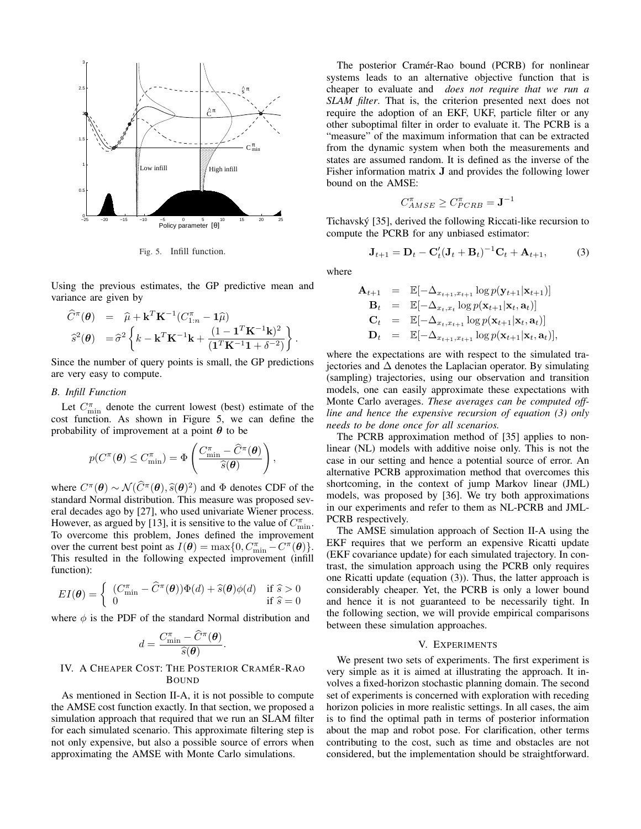

Fig. 5. Infill function.

Using the previous estimates, the GP predictive mean and variance are given by

$$
\begin{array}{ll}\n\widehat{C}^{\pi}(\boldsymbol{\theta}) & = & \widehat{\mu} + \mathbf{k}^{T} \mathbf{K}^{-1} (C_{1:n}^{\pi} - \mathbf{1} \widehat{\mu}) \\
\widehat{s}^{2}(\boldsymbol{\theta}) & = & \widehat{\sigma}^{2} \left\{ k - \mathbf{k}^{T} \mathbf{K}^{-1} \mathbf{k} + \frac{(1 - \mathbf{1}^{T} \mathbf{K}^{-1} \mathbf{k})^{2}}{(\mathbf{1}^{T} \mathbf{K}^{-1} \mathbf{1} + \delta^{-2})} \right\}.\n\end{array}
$$

Since the number of query points is small, the GP predictions are very easy to compute.

## *B. Infill Function*

Let  $C_{\min}^{\pi}$  denote the current lowest (best) estimate of the cost function. As shown in Figure 5, we can define the probability of improvement at a point  $\theta$  to be

$$
p(C^{\pi}(\boldsymbol{\theta}) \le C^{\pi}_{\min}) = \Phi\left(\frac{C^{\pi}_{\min} - \widehat{C}^{\pi}(\boldsymbol{\theta})}{\widehat{s}(\boldsymbol{\theta})}\right)
$$

,

where  $C^{\pi}(\theta) \sim \mathcal{N}(\widehat{C}^{\pi}(\theta), \widehat{s}(\theta)^2)$  and  $\Phi$  denotes CDF of the standard Normal distribution. This measure was proposed several decades ago by [27], who used univariate Wiener process. However, as argued by [13], it is sensitive to the value of  $C_{\text{min}}^{\pi}$ . To overcome this problem, Jones defined the improvement over the current best point as  $I(\theta) = \max\{0, C_{\min}^{\pi} - C^{\pi}(\theta)\}.$ This resulted in the following expected improvement (infill function):

$$
EI(\boldsymbol{\theta}) = \begin{cases} (C_{\min}^{\pi} - \widehat{C}^{\pi}(\boldsymbol{\theta})) \Phi(d) + \widehat{s}(\boldsymbol{\theta}) \phi(d) & \text{if } \widehat{s} > 0\\ 0 & \text{if } \widehat{s} = 0 \end{cases}
$$

where  $\phi$  is the PDF of the standard Normal distribution and

$$
d = \frac{C_{\min}^{\pi} - \widehat{C}^{\pi}(\boldsymbol{\theta})}{\widehat{s}(\boldsymbol{\theta})}
$$

.

# IV. A CHEAPER COST: THE POSTERIOR CRAMÉR-RAO BOUND

As mentioned in Section II-A, it is not possible to compute the AMSE cost function exactly. In that section, we proposed a simulation approach that required that we run an SLAM filter for each simulated scenario. This approximate filtering step is not only expensive, but also a possible source of errors when approximating the AMSE with Monte Carlo simulations.

The posterior Cramér-Rao bound (PCRB) for nonlinear systems leads to an alternative objective function that is cheaper to evaluate and *does not require that we run a SLAM filter*. That is, the criterion presented next does not require the adoption of an EKF, UKF, particle filter or any other suboptimal filter in order to evaluate it. The PCRB is a "measure" of the maximum information that can be extracted from the dynamic system when both the measurements and states are assumed random. It is defined as the inverse of the Fisher information matrix J and provides the following lower bound on the AMSE:

$$
C_{AMSE}^{\pi} \ge C_{PCRB}^{\pi} = \mathbf{J}^{-1}
$$

Tichavsky [35], derived the following Riccati-like recursion to ´ compute the PCRB for any unbiased estimator:

$$
\mathbf{J}_{t+1} = \mathbf{D}_t - \mathbf{C}'_t (\mathbf{J}_t + \mathbf{B}_t)^{-1} \mathbf{C}_t + \mathbf{A}_{t+1},
$$
 (3)

where

$$
\begin{array}{rcl}\n\mathbf{A}_{t+1} & = & \mathbb{E}[-\Delta_{x_{t+1},x_{t+1}}\log p(\mathbf{y}_{t+1}|\mathbf{x}_{t+1})] \\
\mathbf{B}_t & = & \mathbb{E}[-\Delta_{x_t,x_t}\log p(\mathbf{x}_{t+1}|\mathbf{x}_t,\mathbf{a}_t)] \\
\mathbf{C}_t & = & \mathbb{E}[-\Delta_{x_t,x_{t+1}}\log p(\mathbf{x}_{t+1}|\mathbf{x}_t,\mathbf{a}_t)] \\
\mathbf{D}_t & = & \mathbb{E}[-\Delta_{x_{t+1},x_{t+1}}\log p(\mathbf{x}_{t+1}|\mathbf{x}_t,\mathbf{a}_t)],\n\end{array}
$$

where the expectations are with respect to the simulated trajectories and  $\Delta$  denotes the Laplacian operator. By simulating (sampling) trajectories, using our observation and transition models, one can easily approximate these expectations with Monte Carlo averages. *These averages can be computed offline and hence the expensive recursion of equation (3) only needs to be done once for all scenarios.*

The PCRB approximation method of [35] applies to nonlinear (NL) models with additive noise only. This is not the case in our setting and hence a potential source of error. An alternative PCRB approximation method that overcomes this shortcoming, in the context of jump Markov linear (JML) models, was proposed by [36]. We try both approximations in our experiments and refer to them as NL-PCRB and JML-PCRB respectively.

The AMSE simulation approach of Section II-A using the EKF requires that we perform an expensive Ricatti update (EKF covariance update) for each simulated trajectory. In contrast, the simulation approach using the PCRB only requires one Ricatti update (equation (3)). Thus, the latter approach is considerably cheaper. Yet, the PCRB is only a lower bound and hence it is not guaranteed to be necessarily tight. In the following section, we will provide empirical comparisons between these simulation approaches.

## V. EXPERIMENTS

We present two sets of experiments. The first experiment is very simple as it is aimed at illustrating the approach. It involves a fixed-horizon stochastic planning domain. The second set of experiments is concerned with exploration with receding horizon policies in more realistic settings. In all cases, the aim is to find the optimal path in terms of posterior information about the map and robot pose. For clarification, other terms contributing to the cost, such as time and obstacles are not considered, but the implementation should be straightforward.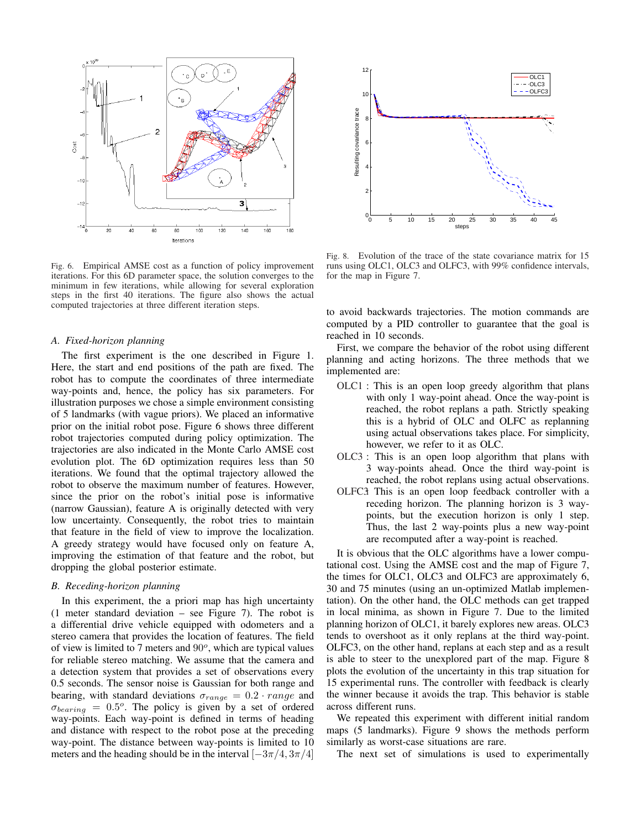

Fig. 6. Empirical AMSE cost as a function of policy improvement iterations. For this 6D parameter space, the solution converges to the minimum in few iterations, while allowing for several exploration steps in the first 40 iterations. The figure also shows the actual computed trajectories at three different iteration steps.

## *A. Fixed-horizon planning*

The first experiment is the one described in Figure 1. Here, the start and end positions of the path are fixed. The robot has to compute the coordinates of three intermediate way-points and, hence, the policy has six parameters. For illustration purposes we chose a simple environment consisting of 5 landmarks (with vague priors). We placed an informative prior on the initial robot pose. Figure 6 shows three different robot trajectories computed during policy optimization. The trajectories are also indicated in the Monte Carlo AMSE cost evolution plot. The 6D optimization requires less than 50 iterations. We found that the optimal trajectory allowed the robot to observe the maximum number of features. However, since the prior on the robot's initial pose is informative (narrow Gaussian), feature A is originally detected with very low uncertainty. Consequently, the robot tries to maintain that feature in the field of view to improve the localization. A greedy strategy would have focused only on feature A, improving the estimation of that feature and the robot, but dropping the global posterior estimate.

# *B. Receding-horizon planning*

In this experiment, the a priori map has high uncertainty (1 meter standard deviation – see Figure 7). The robot is a differential drive vehicle equipped with odometers and a stereo camera that provides the location of features. The field of view is limited to 7 meters and  $90^\circ$ , which are typical values for reliable stereo matching. We assume that the camera and a detection system that provides a set of observations every 0.5 seconds. The sensor noise is Gaussian for both range and bearing, with standard deviations  $\sigma_{range} = 0.2 \cdot range$  and  $\sigma_{\text{bearing}} = 0.5^{\circ}$ . The policy is given by a set of ordered way-points. Each way-point is defined in terms of heading and distance with respect to the robot pose at the preceding way-point. The distance between way-points is limited to 10 meters and the heading should be in the interval  $[-3\pi/4, 3\pi/4]$ 



Fig. 8. Evolution of the trace of the state covariance matrix for 15 runs using OLC1, OLC3 and OLFC3, with 99% confidence intervals, for the map in Figure 7.

to avoid backwards trajectories. The motion commands are computed by a PID controller to guarantee that the goal is reached in 10 seconds.

First, we compare the behavior of the robot using different planning and acting horizons. The three methods that we implemented are:

- OLC1 : This is an open loop greedy algorithm that plans with only 1 way-point ahead. Once the way-point is reached, the robot replans a path. Strictly speaking this is a hybrid of OLC and OLFC as replanning using actual observations takes place. For simplicity, however, we refer to it as OLC.
- OLC3 : This is an open loop algorithm that plans with 3 way-points ahead. Once the third way-point is reached, the robot replans using actual observations.
- OLFC3: This is an open loop feedback controller with a receding horizon. The planning horizon is 3 waypoints, but the execution horizon is only 1 step. Thus, the last 2 way-points plus a new way-point are recomputed after a way-point is reached.

It is obvious that the OLC algorithms have a lower computational cost. Using the AMSE cost and the map of Figure 7, the times for OLC1, OLC3 and OLFC3 are approximately 6, 30 and 75 minutes (using an un-optimized Matlab implementation). On the other hand, the OLC methods can get trapped in local minima, as shown in Figure 7. Due to the limited planning horizon of OLC1, it barely explores new areas. OLC3 tends to overshoot as it only replans at the third way-point. OLFC3, on the other hand, replans at each step and as a result is able to steer to the unexplored part of the map. Figure 8 plots the evolution of the uncertainty in this trap situation for 15 experimental runs. The controller with feedback is clearly the winner because it avoids the trap. This behavior is stable across different runs.

We repeated this experiment with different initial random maps (5 landmarks). Figure 9 shows the methods perform similarly as worst-case situations are rare.

The next set of simulations is used to experimentally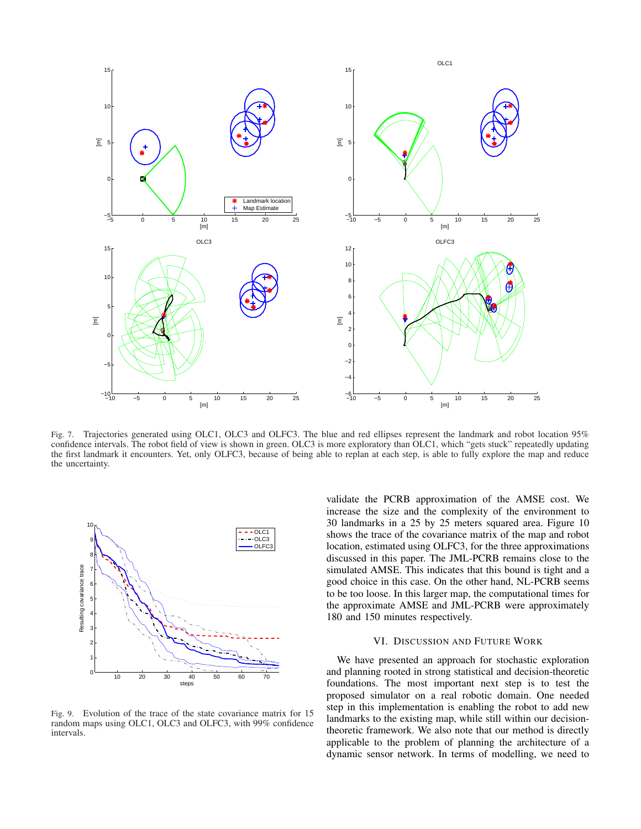

Fig. 7. Trajectories generated using OLC1, OLC3 and OLFC3. The blue and red ellipses represent the landmark and robot location 95% confidence intervals. The robot field of view is shown in green. OLC3 is more exploratory than OLC1, which "gets stuck" repeatedly updating the first landmark it encounters. Yet, only OLFC3, because of being able to replan at each step, is able to fully explore the map and reduce the uncertainty.



Fig. 9. Evolution of the trace of the state covariance matrix for 15 random maps using OLC1, OLC3 and OLFC3, with 99% confidence intervals.

validate the PCRB approximation of the AMSE cost. We increase the size and the complexity of the environment to 30 landmarks in a 25 by 25 meters squared area. Figure 10 shows the trace of the covariance matrix of the map and robot location, estimated using OLFC3, for the three approximations discussed in this paper. The JML-PCRB remains close to the simulated AMSE. This indicates that this bound is tight and a good choice in this case. On the other hand, NL-PCRB seems to be too loose. In this larger map, the computational times for the approximate AMSE and JML-PCRB were approximately 180 and 150 minutes respectively.

## VI. DISCUSSION AND FUTURE WORK

We have presented an approach for stochastic exploration and planning rooted in strong statistical and decision-theoretic foundations. The most important next step is to test the proposed simulator on a real robotic domain. One needed step in this implementation is enabling the robot to add new landmarks to the existing map, while still within our decisiontheoretic framework. We also note that our method is directly applicable to the problem of planning the architecture of a dynamic sensor network. In terms of modelling, we need to